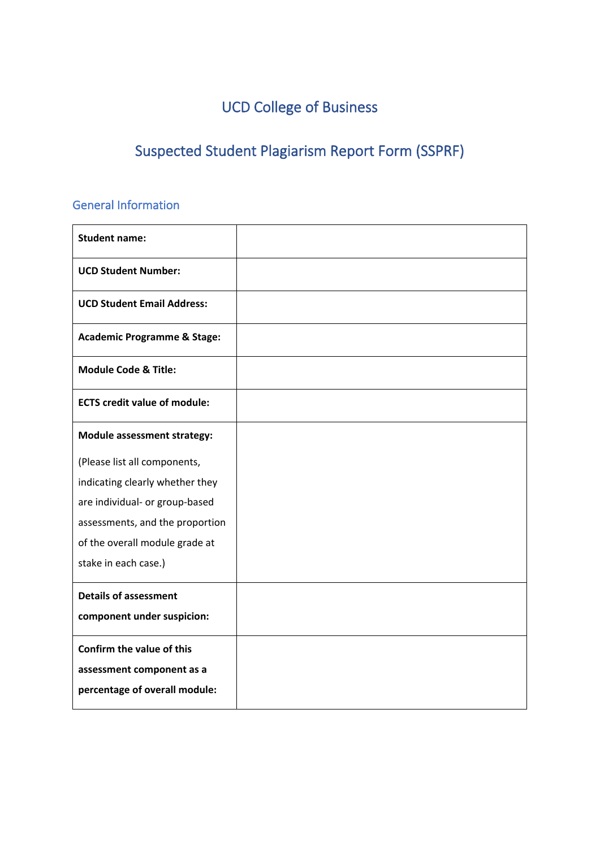# UCD College of Business

# Suspected Student Plagiarism Report Form (SSPRF)

### General Information

| <b>Student name:</b>                   |  |
|----------------------------------------|--|
| <b>UCD Student Number:</b>             |  |
| <b>UCD Student Email Address:</b>      |  |
| <b>Academic Programme &amp; Stage:</b> |  |
| <b>Module Code &amp; Title:</b>        |  |
| <b>ECTS credit value of module:</b>    |  |
| <b>Module assessment strategy:</b>     |  |
| (Please list all components,           |  |
| indicating clearly whether they        |  |
| are individual- or group-based         |  |
| assessments, and the proportion        |  |
| of the overall module grade at         |  |
| stake in each case.)                   |  |
| <b>Details of assessment</b>           |  |
| component under suspicion:             |  |
| Confirm the value of this              |  |
| assessment component as a              |  |
| percentage of overall module:          |  |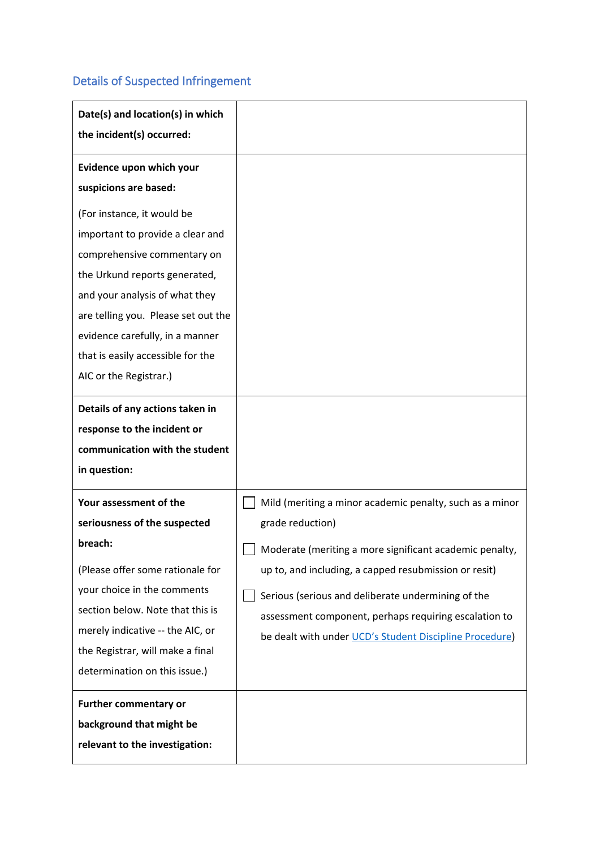### Details of Suspected Infringement

| Date(s) and location(s) in which<br>the incident(s) occurred:                                                                                                                                                                                                                                                                        |                                                                                                                                                                                                                                                                                                                                                                            |
|--------------------------------------------------------------------------------------------------------------------------------------------------------------------------------------------------------------------------------------------------------------------------------------------------------------------------------------|----------------------------------------------------------------------------------------------------------------------------------------------------------------------------------------------------------------------------------------------------------------------------------------------------------------------------------------------------------------------------|
| Evidence upon which your<br>suspicions are based:<br>(For instance, it would be<br>important to provide a clear and<br>comprehensive commentary on<br>the Urkund reports generated,<br>and your analysis of what they<br>are telling you. Please set out the<br>evidence carefully, in a manner<br>that is easily accessible for the |                                                                                                                                                                                                                                                                                                                                                                            |
| AIC or the Registrar.)<br>Details of any actions taken in<br>response to the incident or<br>communication with the student<br>in question:                                                                                                                                                                                           |                                                                                                                                                                                                                                                                                                                                                                            |
| Your assessment of the<br>seriousness of the suspected<br>breach:<br>(Please offer some rationale for<br>your choice in the comments<br>section below. Note that this is<br>merely indicative -- the AIC, or<br>the Registrar, will make a final<br>determination on this issue.)                                                    | Mild (meriting a minor academic penalty, such as a minor<br>grade reduction)<br>Moderate (meriting a more significant academic penalty,<br>up to, and including, a capped resubmission or resit)<br>Serious (serious and deliberate undermining of the<br>assessment component, perhaps requiring escalation to<br>be dealt with under UCD's Student Discipline Procedure) |
| <b>Further commentary or</b><br>background that might be<br>relevant to the investigation:                                                                                                                                                                                                                                           |                                                                                                                                                                                                                                                                                                                                                                            |